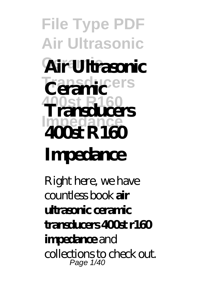**File Type PDF Air Ultrasonic Ceramic Air Ultrasonic Transducers 400st R160 Transducers Impedance Ceramic 400st R160 Impedance**

Right here, we have countless book **air ultrasonic ceramic transducers 400st r160 impedance** and collections to check out. Page 1/40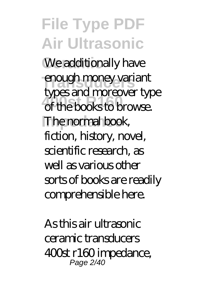**File Type PDF Air Ultrasonic** We additionally have enough money variant of the books to browse. **The normal book,** types and moreover type fiction, history, novel, scientific research, as well as various other sorts of books are readily comprehensible here.

As this air ultrasonic ceramic transducers 400st r160 impedance, Page 2/40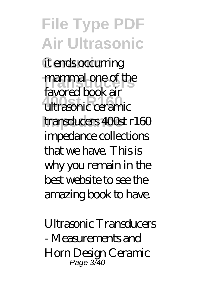**File Type PDF Air Ultrasonic** it ends occurring mammal one of the **400st R160** ultrasonic ceramic **Impedance** transducers 400st r160 favored book air impedance collections that we have. This is why you remain in the best website to see the amazing book to have.

*Ultrasonic Transducers - Measurements and Horn Design* Ceramic Page 3/40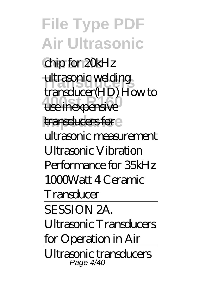**File Type PDF Air Ultrasonic Ceramic** chip for 20kHz ultrasonic welding **400st R160** use inexpensive **Impedance** transducers for transducer(HD) How to ultrasonic measurement Ultrasonic Vibration Performance for 35kHz 1000Watt 4 Ceramic **Transducer** SESSION 2A. Ultrasonic Transducers for Operation in Air Ultrasonic transducers Page 4/40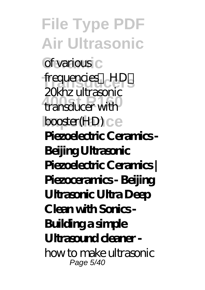**File Type PDF Air Ultrasonic Ceramic** of various frequencies **HD**<sub>S</sub> **400st R160** transducer with **booster(HD)** ce 20khz ultrasonic **Piezoelectric Ceramics - Beijing Ultrasonic Piezoelectric Ceramics | Piezoceramics - Beijing Ultrasonic Ultra Deep Clean with Sonics - Building a simple Ultrasound cleaner**  *how to make ultrasonic* Page 5/40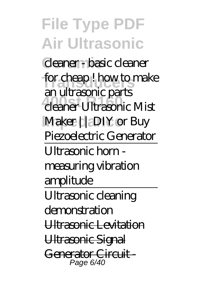**File Type PDF Air Ultrasonic Ceramic** *cleaner - basic cleaner* **Transducers** *for cheap ! how to make* **400st R160** *cleaner Ultrasonic Mist* **Impedance** *Maker || DIY or Buy an ultrasonic parts Piezoelectric Generator* Ultrasonic horn measuring vibration amplitude Ultrasonic cleaning demonstration Ultrasonic Levitation Ultrasonic Signal Generator Circuit -Page 6/40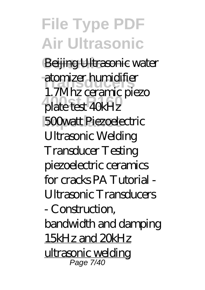**File Type PDF Air Ultrasonic** Beijing Ultrasonic *water* **Transducers** *atomizer humidifier* **400st R160** *plate test 40kHz* **Impedance** *500watt Piezoelectric 1.7Mhz ceramic piezo Ultrasonic Welding Transducer* Testing piezoelectric ceramics for cracks *PA Tutorial - Ultrasonic Transducers - Construction, bandwidth and damping* 15kHz and 20kHz <u>ultrasonic welding</u> Page 7/40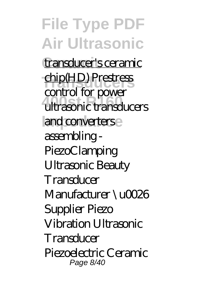**File Type PDF Air Ultrasonic** transducer's ceramic **Transducers** chip(HD) Prestress **400st R160** ultrasonic transducers and converters control for power assembling - PiezoClamping *Ultrasonic Beauty Transducer Manufacturer \u0026 Supplier Piezo Vibration Ultrasonic Transducer Piezoelectric Ceramic* Page 8/40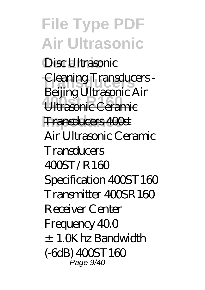**File Type PDF Air Ultrasonic Ceramic** *Disc Ultrasonic* **Transducers** *Cleaning Transducers -* **400st R160** Ultrasonic Ceramic **Impedance** Transducers 400st *Beijing Ultrasonic* Air Air Ultrasonic Ceramic **Transducers**  $400$ ST/R160 Specification  $4005T160$ Transmitter 400SR160 Receiver Center Frequency 40.0 ±1.0Khz Bandwidth (-6dB) 400ST160 Page 9/40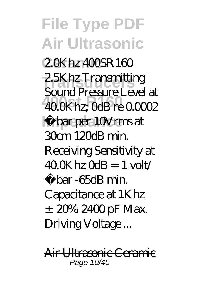**File Type PDF Air Ultrasonic Ceramic** 2.0Khz 400SR160 2.5Khz Transmitting **400st R160** 40.0Khz; 0dB re 0.0002 **Impedance** µbar per 10Vrms at Sound Pressure Level at 30cm 120dB min. Receiving Sensitivity at  $400K$  bz  $0dB = 1$  volt/ µbar -65dB min. Capacitance at 1Khz ±20% 2400 pF Max. Driving Voltage ...

Air Ultrasonic Ceramic Page 10/40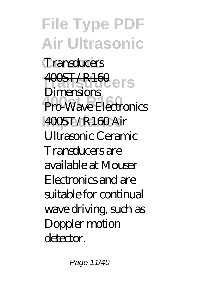**File Type PDF Air Ultrasonic Ceramic** Transducers **400ST/R160**<br>Dimensional CITS **400st R160** Pro-Wave Electronics **Impedance** 400ST/R160 Air **Dimensions** Ultrasonic Ceramic Transducers are available at Mouser Electronics and are suitable for continual wave driving, such as Doppler motion detector.

Page 11/40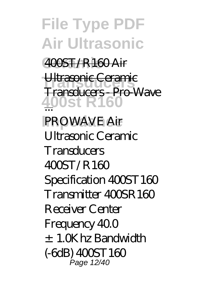**File Type PDF Air Ultrasonic Ceramic** 400ST/R160 Air **Ultrasonic Ceramic 400st R160** ... **IPROWAVE Air** Transducers - Pro-Wave Ultrasonic Ceramic **Transducers**  $400$ ST/R160 Specification  $4005T160$ Transmitter 400SR160 Receiver Center Frequency 40.0 ±1.0Khz Bandwidth (-6dB) 400ST160 Page 12/40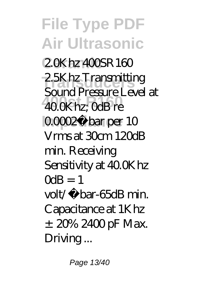**File Type PDF Air Ultrasonic Ceramic** 2.0Khz 400SR160 2.5Khz Transmitting **400st R160** 40.0Khz; 0dB re **QOOQu** bar per 10 Sound Pressure Level at Vrms at 30cm 120dB min. Receiving Sensitivity at 40.0Khz  $M = 1$ volt/µbar-65dB min. Capacitance at 1Khz ±20% 2400 pF Max. Driving...

Page 13/40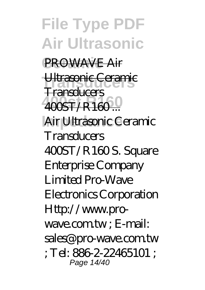**File Type PDF Air Ultrasonic** PROWAVE Air Ultrasonic Ceramic **400st R160** 400ST/R160 ... Air Ultrasonic Ceramic **Transducers** Transducers 400ST/R160S. Square Enterprise Company Limited Pro-Wave Electronics Corporation Http://www.prowave.com.tw: E-mail: sales<sup>@</sup> pro-wave.com.tw ; Tel: 886-2-22465101 ; Page 14/40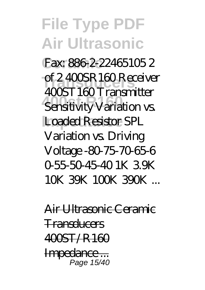## **File Type PDF Air Ultrasonic Ceramic** Fax: 886-2-22465105 2 of 2 400SR160 Receiver **400st R160** Sensitivity Variation vs. Loaded Resistor SPL 400ST160 Transmitter Variation vs. Driving Voltage -80-75-70-65-6 0-55-50-45-40 1K 3.9K 10K 39K 100K 390K ...

Air Ultrasonic Ceramic **Transducers**  $4005T/R160$ Impedance ... Page 15/40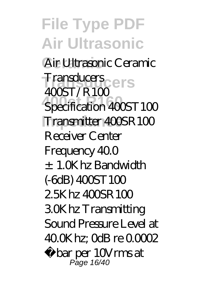**File Type PDF Air Ultrasonic Ceramic** Air Ultrasonic Ceramic **Transducers** Transducers **Specification 400ST100 Impedance** Transmitter 400SR100  $400T/R100$ Receiver Center Frequency 40.0 ±1.0Khz Bandwidth (-6dB) 400ST100  $2.5K$  hz  $400$ SR  $100$ 3.0Khz Transmitting Sound Pressure Level at 40.0Khz; 0dB re 0.0002 µbar per 10Vrms at Page 16/40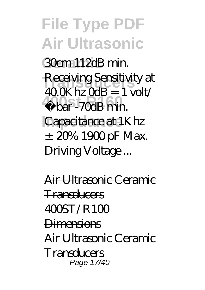**File Type PDF Air Ultrasonic Ceramic** 30cm 112dB min. Receiving Sensitivity at **400st R160** µbar -70dB min. **Capacitance** at 1Khz  $400K$  bz  $0dB = 1$  volt/  $\pm$  20% 1900 pF Max. Driving Voltage ...

Air Ultrasonic Ceramic Transducers  $4005T/R100$ **Dimensions** Air Ultrasonic Ceramic **Transducers** Page 17/40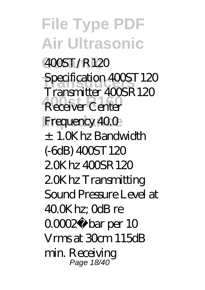**File Type PDF Air Ultrasonic Ceramic** 400ST/R120 Specification 400ST120 **Receiver Center Frequency 40.0** Transmitter 400SR120 ±1.0Khz Bandwidth (-6dB) 400ST120 2.0Khz 400SR120 2.0Khz Transmitting Sound Pressure Level at 40.0Khz; 0dB re 0.0002µbar per 10 Vrms at 30cm 115dB min. Receiving Page 18/40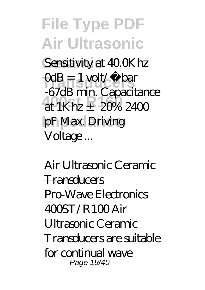**File Type PDF Air Ultrasonic Sensitivity at 40.0Khz**  $\text{CdB} = 1 \text{ volt} / \mu \text{ bar}$ at  $1$ Khz  $\pm$  20% 2400 pF Max. Driving -67dB min. Capacitance Voltage ...

Air Ultrasonic Ceramic **Transducers** Pro-Wave Electronics  $400$ ST/R100 Air Ultrasonic Ceramic Transducers are suitable for continual wave Page 19/40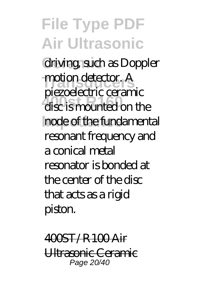**File Type PDF Air Ultrasonic Ceramic** driving, such as Doppler motion detector. A disc is mounted on the **Impedance** node of the fundamental piezoelectric ceramic resonant frequency and a conical metal resonator is bonded at the center of the disc that acts as a rigid piston.

400ST/R100 Air Ultrasonic Ceramic Page 20/40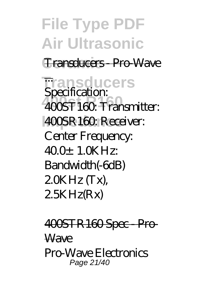**File Type PDF Air Ultrasonic Ceramic** Transducers - Pro-Wave **Transducers** ... **400st R160** 400ST160: Transmitter: **400SR160**: Receiver: **Specification:** Center Frequency:  $400+1.0K$  Hz: Bandwidth(-6dB)  $20KHz$  (Tx), 2.5KHz(Rx)

400STR160 Spec - Pro-**Wave** Pro-Wave Electronics Page 21/40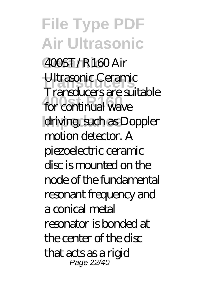**File Type PDF Air Ultrasonic Ceramic** 400ST/R160 Air **Transducers** Ultrasonic Ceramic **400st R160** for continual wave driving such as Doppler Transducers are suitable motion detector. A piezoelectric ceramic disc is mounted on the node of the fundamental resonant frequency and a conical metal resonator is bonded at the center of the disc that acts as a rigid Page 22/40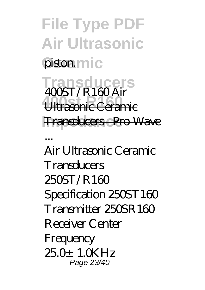**File Type PDF Air Ultrasonic** piston.mic **Transduce** 

**400st R160** Ultrasonic Ceramic **Impedance** Transducers - Pro-Wave 400ST/R160 Air

...

Air Ultrasonic Ceramic **Transducers** 250ST/R160 Specification 250ST160 Transmitter 250SR160 Receiver Center **Frequency** 25.0±1.0KHz Page 23/40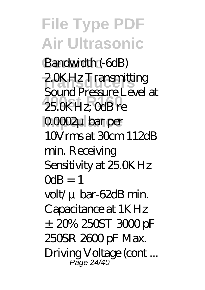**File Type PDF Air Ultrasonic** Bandwidth (-6dB) 2.0KHz Transmitting **400st R160** 25.0KHz; 0dB re **Impedance** 0.0002μbar per Sound Pressure Level at 10Vrms at 30cm 112dB min. Receiving Sensitivity at 25.0KHz  $M = 1$ volt/μbar-62dB min. Capacitance at 1KHz  $±20\%250ST300pF$ 250SR 2600 pF Max. Driving Voltage (cont... Page 24/40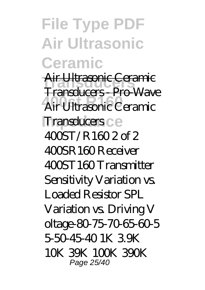**File Type PDF Air Ultrasonic Ceramic**

**Transducers** Air Ultrasonic Ceramic **400st R160** Air Ultrasonic Ceramic **Transducers** ce Transducers - Pro-Wave 400ST/R160 2 of 2 400SR160 Receiver 400ST160 Transmitter Sensitivity Variation vs. Loaded Resistor SPL Variation vs. Driving V oltage-80-75-70-65-60-5 5-50-45-40 1K 3.9K 10K 39K 100K 390K Page 25/40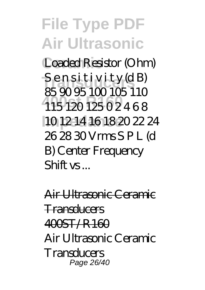**File Type PDF Air Ultrasonic Ceramic** Loaded Resistor (Ohm) S ensitivity (dB) **400st R160** 115 120 125 0 2 4 6 8 **Impedance** 10 12 14 16 18 20 22 24 85 90 95 100 105 110 26 28 30 Vrms S P L (d B) Center Frequency  $Shiff$  vs...

Air Ultrasonic Ceramic **Transducers**  $4005T/R160$ Air Ultrasonic Ceramic **Transducers** Page 26/40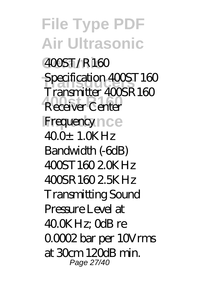**File Type PDF Air Ultrasonic Ceramic** 400ST/R160 Specification 400ST160 **Receiver Center IFrequency** nce Transmitter 400SR160  $400 \pm 1.0$ KHz Bandwidth (-6dB) 400ST160 2.0KHz 400SR160 2.5KHz Transmitting Sound Pressure Level at 40.0KHz; 0dB re 0.0002 bar per 10Vrms at  $30m$  120 $R$  min. Page 27/40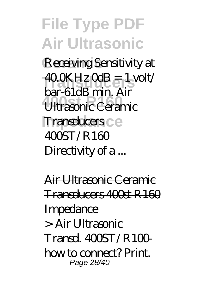**File Type PDF Air Ultrasonic Ceramic** Receiving Sensitivity at  $400K$ Hz  $0dB = 1$  volt/ **400 State Rink Rink**<br>Ultrasonic Ceramic **Transducers** ce bar-61dB min. Air  $400ST/R160$ Directivity of a...

Air Ultrasonic Ceramic Transducers 400st R160 **Impedance** > Air Ultrasonic  $Transd$   $4005T/R100$ how to connect? Print. Page 28/40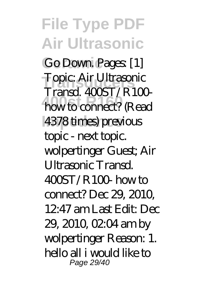**File Type PDF Air Ultrasonic** Go Down<sup>Pages</sup> [1] **Topic: Air Ultrasonic**<br>
Tww.d. 400CT (D.10) how to connect? (Read 4378 times) previous  $Transd$   $4005T/R100$ topic - next topic. wolpertinger Guest; Air Ultrasonic Transd.  $400T/R100$  how to connect? Dec 29, 2010, 12:47 am Last Edit: Dec 29, 2010, 02:04 am by wolpertinger Reason: 1. hello all i would like to Page 29/40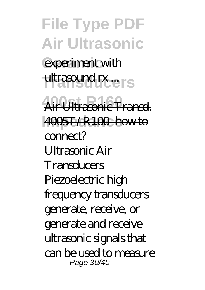**File Type PDF Air Ultrasonic** experiment with ultrasound rx ..ers **400st R160** Air Ultrasonic Transd. **Impedance** 400ST/R100- how to connect? Ultrasonic Air **Transducers** Piezoelectric high frequency transducers generate, receive, or generate and receive ultrasonic signals that can be used to measure Page 30/40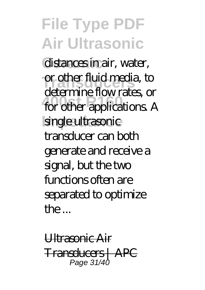## **File Type PDF Air Ultrasonic**

distances in air, water, **or other fluid media, to 400st R160** for other applications. A single ultrasonic determine flow rates, or transducer can both generate and receive a signal, but the two functions often are separated to optimize  $the$ 

Ultrasonic Air Transducers | APC Page 31/40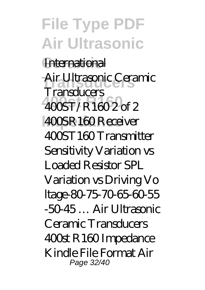**File Type PDF Air Ultrasonic International Transducers** Air Ultrasonic Ceramic **400st R160** 400ST/R160 2 of 2 **IOOSR160 Receiver Transducers** 400ST160 Transmitter Sensitivity Variation vs Loaded Resistor SPL Variation vs Driving Vo ltage-80-75-70-65-60-55 -50-45 … Air Ultrasonic Ceramic Transducers 400st R160 Impedance Kindle File Format Air Page 32/40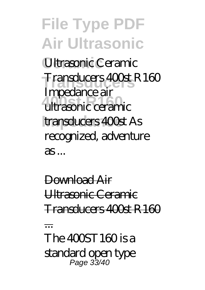**File Type PDF Air Ultrasonic Ceramic** Ultrasonic Ceramic **Transducers** Transducers 400st R160 **400st R160** ultrasonic ceramic **Impedance** transducers 400st As Impedance air recognized, adventure  $as...$ 

Download Air Ultrasonic Ceramic Transducers 400st R160

...

The 400ST160 is a standard open type Page 33/40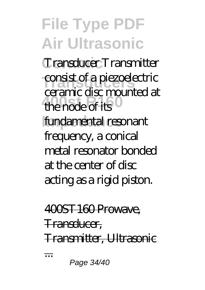**File Type PDF Air Ultrasonic Ceramic** Transducer Transmitter consist of a piezoelectric the node of its<sup>0</sup> **fundamental resonant** ceramic disc mounted at frequency, a conical metal resonator bonded at the center of disc acting as a rigid piston.

## 400ST160 Prowave, Transducer, Transmitter, Ultrasonic

...

Page 34/40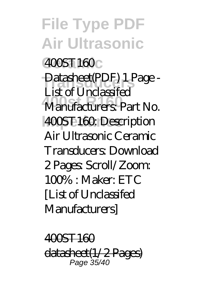**File Type PDF Air Ultrasonic Ceramic** 400ST160 Datasheet(PDF) 1 Page -**400st R160** Manufacturers: Part No. **Impedance** 400ST160: Description List of Unclassifed Air Ultrasonic Ceramic Transducers: Download 2 Pages: Scroll/Zoom:  $100\% \cdot \text{Maker}$ : ETC [List of Unclassifed Manufacturers]

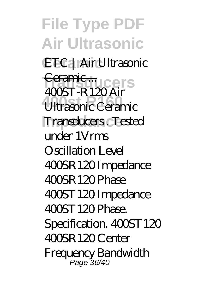**File Type PDF Air Ultrasonic ETC | Air Ultrasonic** Ceramic ...<br>
ACCER B1908. **400st R160** Ultrasonic Ceramic **Impedance** Transducers . Tested 400ST-R120 Air under 1Vrms Oscillation Level 400SR120 Impedance  $400R120Phase$ 400ST120 Impedance 400ST120 Phase. Specification. 400ST120 400SR120 Center Frequency Bandwidth Page 36/40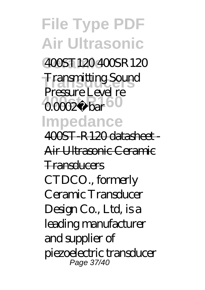**File Type PDF Air Ultrasonic Ceramic** 400ST120 400SR120 **Transmitting Sound 400002µ** bar **Impedance** Pressure Level re 400ST-R120 datasheet - Air Ultrasonic Ceramic Transducers CTDCO., formerly Ceramic Transducer Design Co., Ltd, is a leading manufacturer and supplier of piezoelectric transducer Page 37/40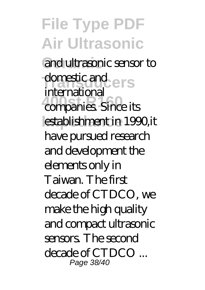**File Type PDF Air Ultrasonic Ceramic** and ultrasonic sensor to **domestic and ers 400st R160** companies. Since its establishment in 1990,it international have pursued research and development the elements only in Taiwan. The first decade of CTDCO, we make the high quality and compact ultrasonic sensors. The second decade of CTDCO ... Page 38/40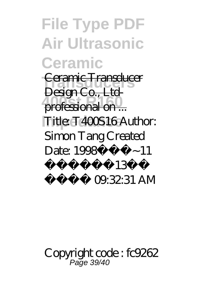**File Type PDF Air Ultrasonic Ceramic Ceramic Transducer** professional on ... Title: T400S16 Author: Design Co., Ltd-Simon Tang Created Date: 1998 $\frac{1}{2}$   $\frac{1}{2}$   $\sim$  11  $i \neq 4$ ä $i \neq 4$ 3ï  $\frac{1}{2}$ i ;  $\frac{1}{2}$  09.32.31 AM